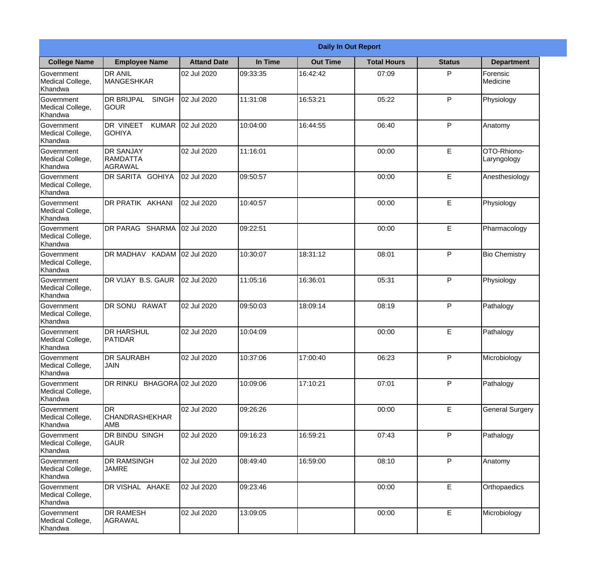|                                                  |                                                       |                    |          | <b>Daily In Out Report</b> |                    |               |                            |
|--------------------------------------------------|-------------------------------------------------------|--------------------|----------|----------------------------|--------------------|---------------|----------------------------|
| <b>College Name</b>                              | <b>Employee Name</b>                                  | <b>Attand Date</b> | In Time  | <b>Out Time</b>            | <b>Total Hours</b> | <b>Status</b> | <b>Department</b>          |
| Government<br>Medical College,<br>Khandwa        | <b>DR ANIL</b><br><b>MANGESHKAR</b>                   | 02 Jul 2020        | 09:33:35 | 16:42:42                   | 07:09              | P             | Forensic<br>Medicine       |
| Government<br>Medical College,<br>Khandwa        | <b>DR BRIJPAL</b><br><b>SINGH</b><br> GOUR            | 02 Jul 2020        | 11:31:08 | 16:53:21                   | 05:22              | P             | Physiology                 |
| <b>Government</b><br>Medical College,<br>Khandwa | <b>DR VINEET</b><br><b>KUMAR</b><br><b>GOHIYA</b>     | 02 Jul 2020        | 10:04:00 | 16:44:55                   | 06:40              | P             | Anatomy                    |
| Government<br>Medical College,<br>Khandwa        | <b>DR SANJAY</b><br><b>RAMDATTA</b><br><b>AGRAWAL</b> | 02 Jul 2020        | 11:16:01 |                            | 00:00              | E             | OTO-Rhiono-<br>Laryngology |
| Government<br>Medical College,<br>Khandwa        | <b>IDR SARITA GOHIYA</b>                              | 02 Jul 2020        | 09:50:57 |                            | 00:00              | E             | Anesthesiology             |
| Government<br>Medical College,<br>Khandwa        | DR PRATIK AKHANI                                      | 02 Jul 2020        | 10:40:57 |                            | 00:00              | E             | Physiology                 |
| Government<br>Medical College,<br>Khandwa        | DR PARAG SHARMA                                       | 02 Jul 2020        | 09:22:51 |                            | 00:00              | E             | Pharmacology               |
| Government<br>Medical College,<br>Khandwa        | DR MADHAV KADAM 02 Jul 2020                           |                    | 10:30:07 | 18:31:12                   | 08:01              | P             | <b>Bio Chemistry</b>       |
| Government<br>Medical College,<br>Khandwa        | DR VIJAY B.S. GAUR                                    | 02 Jul 2020        | 11:05:16 | 16:36:01                   | 05:31              | P             | Physiology                 |
| Government<br>Medical College,<br>Khandwa        | <b>DR SONU</b><br><b>RAWAT</b>                        | 02 Jul 2020        | 09:50:03 | 18:09:14                   | 08:19              | P             | Pathalogy                  |
| Government<br>Medical College,<br>Khandwa        | IDR HARSHUL<br><b>PATIDAR</b>                         | 02 Jul 2020        | 10:04:09 |                            | 00:00              | E             | Pathalogy                  |
| Government<br>Medical College,<br>Khandwa        | <b>DR SAURABH</b><br><b>JAIN</b>                      | 02 Jul 2020        | 10:37:06 | 17:00:40                   | 06:23              | P             | Microbiology               |
| Government<br>Medical College,<br>Khandwa        | DR RINKU BHAGORA 02 Jul 2020                          |                    | 10:09:06 | 17:10:21                   | 07:01              | P             | Pathalogy                  |
| Government<br>Medical College,<br>Khandwa        | <b>DR</b><br><b>CHANDRASHEKHAR</b><br><b>AMB</b>      | 02 Jul 2020        | 09:26:26 |                            | 00:00              | E             | <b>General Surgery</b>     |
| Government<br>Medical College,<br>Khandwa        | DR BINDU SINGH<br> GAUR                               | 02 Jul 2020        | 09:16:23 | 16:59:21                   | 07:43              | P             | Pathalogy                  |
| Government<br>Medical College,<br>Khandwa        | <b>DR RAMSINGH</b><br><b>JAMRE</b>                    | 02 Jul 2020        | 08:49:40 | 16:59:00                   | 08:10              | P             | Anatomy                    |
| Government<br>Medical College,<br>Khandwa        | DR VISHAL AHAKE                                       | 02 Jul 2020        | 09:23:46 |                            | 00:00              | E             | Orthopaedics               |
| Government<br>Medical College,<br>Khandwa        | <b>DR RAMESH</b><br><b>AGRAWAL</b>                    | 02 Jul 2020        | 13:09:05 |                            | 00:00              | E             | Microbiology               |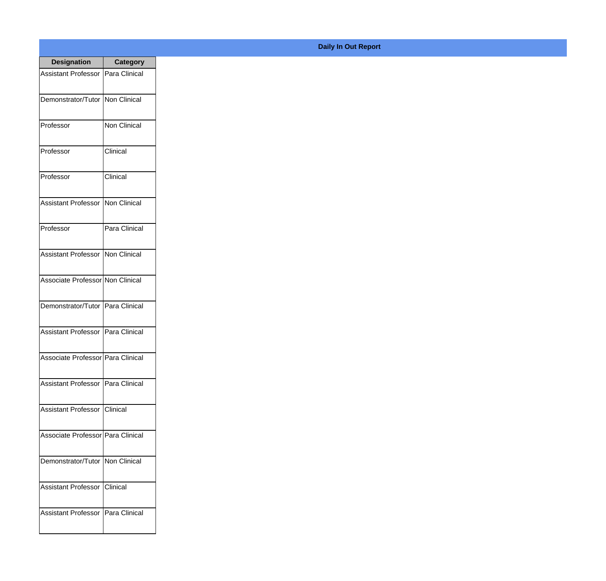| <b>Designation</b>                  | <b>Category</b>     |
|-------------------------------------|---------------------|
| <b>Assistant Professor</b>          | Para Clinical       |
| Demonstrator/Tutor                  | Non Clinical        |
| Professor                           | <b>Non Clinical</b> |
| Professor                           | Clinical            |
| Professor                           | Clinical            |
| <b>Assistant Professor</b>          | Non Clinical        |
| Professor                           | Para Clinical       |
| <b>Assistant Professor</b>          | Non Clinical        |
| Associate Professor Non Clinical    |                     |
| Demonstrator/Tutor                  | Para Clinical       |
| <b>Assistant Professor</b>          | Para Clinical       |
| Associate Professor   Para Clinical |                     |
| Assistant Professor   Para Clinical |                     |
| Assistant Professor   Clinical      |                     |
| Associate Professor Para Clinical   |                     |
| Demonstrator/Tutor   Non Clinical   |                     |
| <b>Assistant Professor</b>          | <b>Clinical</b>     |
| Assistant Professor   Para Clinical |                     |

**Daily In Out Report**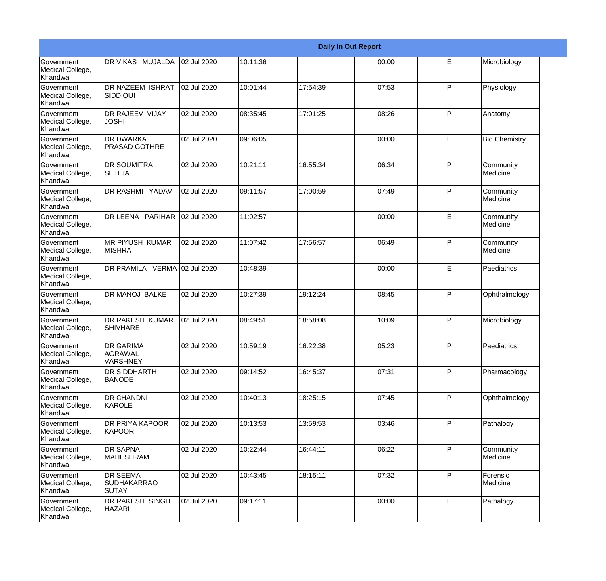|                                                  |                                                |             |          |          | <b>Daily In Out Report</b> |              |                       |
|--------------------------------------------------|------------------------------------------------|-------------|----------|----------|----------------------------|--------------|-----------------------|
| Government<br>Medical College,<br>Khandwa        | DR VIKAS MUJALDA                               | 02 Jul 2020 | 10:11:36 |          | 00:00                      | E            | Microbiology          |
| <b>Government</b><br>Medical College,<br>Khandwa | <b>DR NAZEEM ISHRAT</b><br><b>SIDDIQUI</b>     | 02 Jul 2020 | 10:01:44 | 17:54:39 | 07:53                      | P            | Physiology            |
| <b>Government</b><br>Medical College,<br>Khandwa | <b>DR RAJEEV VIJAY</b><br><b>JOSHI</b>         | 02 Jul 2020 | 08:35:45 | 17:01:25 | 08:26                      | P            | Anatomy               |
| <b>Government</b><br>Medical College,<br>Khandwa | <b>DR DWARKA</b><br><b>PRASAD GOTHRE</b>       | 02 Jul 2020 | 09:06:05 |          | 00:00                      | E            | <b>Bio Chemistry</b>  |
| Government<br>Medical College,<br>Khandwa        | <b>DR SOUMITRA</b><br><b>SETHIA</b>            | 02 Jul 2020 | 10:21:11 | 16:55:34 | 06:34                      | P            | Community<br>Medicine |
| <b>Government</b><br>Medical College,<br>Khandwa | <b>DR RASHMI YADAV</b>                         | 02 Jul 2020 | 09:11:57 | 17:00:59 | 07:49                      | $\mathsf{P}$ | Community<br>Medicine |
| Government<br>Medical College,<br>Khandwa        | DR LEENA PARIHAR                               | 02 Jul 2020 | 11:02:57 |          | 00:00                      | E            | Community<br>Medicine |
| Government<br>Medical College,<br>Khandwa        | <b>MR PIYUSH KUMAR</b><br><b>MISHRA</b>        | 02 Jul 2020 | 11:07:42 | 17:56:57 | 06:49                      | P            | Community<br>Medicine |
| Government<br>Medical College,<br>Khandwa        | DR PRAMILA VERMA 02 Jul 2020                   |             | 10:48:39 |          | 00:00                      | E            | Paediatrics           |
| <b>Government</b><br>Medical College,<br>Khandwa | <b>DR MANOJ BALKE</b>                          | 02 Jul 2020 | 10:27:39 | 19:12:24 | 08:45                      | P            | Ophthalmology         |
| <b>Government</b><br>Medical College,<br>Khandwa | DR RAKESH KUMAR<br><b>SHIVHARE</b>             | 02 Jul 2020 | 08:49:51 | 18:58:08 | 10:09                      | P            | Microbiology          |
| Government<br>Medical College,<br>Khandwa        | <b>DR GARIMA</b><br>AGRAWAL<br><b>VARSHNEY</b> | 02 Jul 2020 | 10:59:19 | 16:22:38 | 05:23                      | P            | Paediatrics           |
| <b>Government</b><br>Medical College,<br>Khandwa | <b>DR SIDDHARTH</b><br><b>BANODE</b>           | 02 Jul 2020 | 09:14:52 | 16:45:37 | 07:31                      | P            | Pharmacology          |
| Government<br>Medical College,<br>Khandwa        | <b>DR CHANDNI</b><br>KAROLE                    | 02 Jul 2020 | 10:40:13 | 18:25:15 | 07:45                      | $\mathsf{P}$ | Ophthalmology         |
| Government<br>Medical College,<br>Khandwa        | DR PRIYA KAPOOR<br>KAPOOR                      | 02 Jul 2020 | 10:13:53 | 13:59:53 | 03:46                      | P            | Pathalogy             |
| Government<br>Medical College,<br>Khandwa        | <b>DR SAPNA</b><br>MAHESHRAM                   | 02 Jul 2020 | 10:22:44 | 16:44:11 | 06:22                      | P            | Community<br>Medicine |
| Government<br>Medical College,<br>Khandwa        | <b>DR SEEMA</b><br><b>SUDHAKARRAO</b><br>SUTAY | 02 Jul 2020 | 10:43:45 | 18:15:11 | 07:32                      | P            | Forensic<br>Medicine  |
| Government<br>Medical College,<br>Khandwa        | <b>DR RAKESH SINGH</b><br><b>HAZARI</b>        | 02 Jul 2020 | 09:17:11 |          | 00:00                      | E            | Pathalogy             |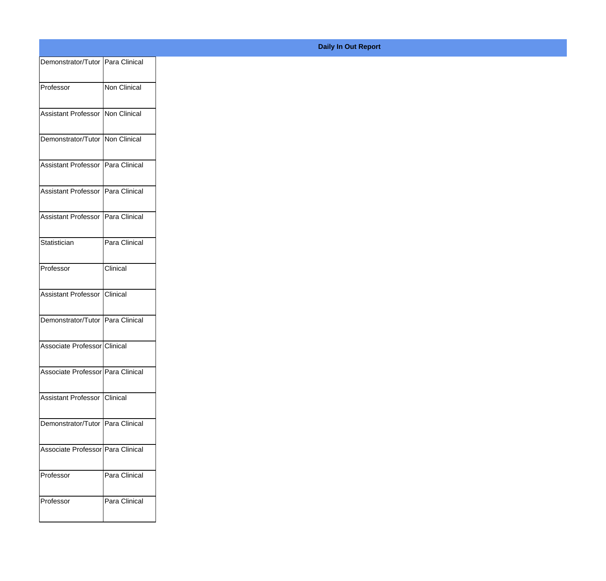| Demonstrator/Tutor Para Clinical<br>Non Clinical<br>Assistant Professor Non Clinical<br>Demonstrator/Tutor Non Clinical<br>Assistant Professor   Para Clinical<br>Assistant Professor Para Clinical<br>Assistant Professor Para Clinical<br>Para Clinical |
|-----------------------------------------------------------------------------------------------------------------------------------------------------------------------------------------------------------------------------------------------------------|
|                                                                                                                                                                                                                                                           |
|                                                                                                                                                                                                                                                           |
|                                                                                                                                                                                                                                                           |
|                                                                                                                                                                                                                                                           |
|                                                                                                                                                                                                                                                           |
|                                                                                                                                                                                                                                                           |
|                                                                                                                                                                                                                                                           |
|                                                                                                                                                                                                                                                           |
|                                                                                                                                                                                                                                                           |
|                                                                                                                                                                                                                                                           |
|                                                                                                                                                                                                                                                           |
| Clinical                                                                                                                                                                                                                                                  |
|                                                                                                                                                                                                                                                           |
| Assistant Professor Clinical                                                                                                                                                                                                                              |
| Demonstrator/Tutor Para Clinical                                                                                                                                                                                                                          |
| Associate Professor Clinical                                                                                                                                                                                                                              |
|                                                                                                                                                                                                                                                           |
| Associate Professor Para Clinical                                                                                                                                                                                                                         |
| Assistant Professor Clinical                                                                                                                                                                                                                              |
|                                                                                                                                                                                                                                                           |
| Demonstrator/Tutor Para Clinical                                                                                                                                                                                                                          |
| Associate Professor Para Clinical                                                                                                                                                                                                                         |
| Para Clinical                                                                                                                                                                                                                                             |
|                                                                                                                                                                                                                                                           |
| Para Clinical                                                                                                                                                                                                                                             |
|                                                                                                                                                                                                                                                           |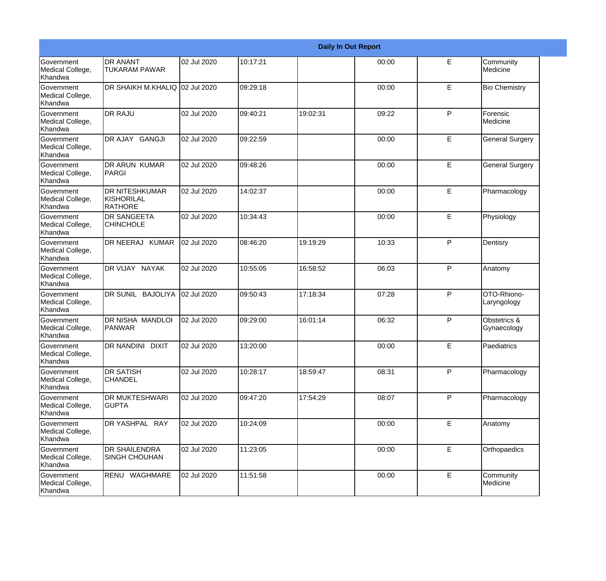|                                           |                                                |             |          |          | <b>Daily In Out Report</b> |   |                             |
|-------------------------------------------|------------------------------------------------|-------------|----------|----------|----------------------------|---|-----------------------------|
| Government<br>Medical College,<br>Khandwa | <b>DR ANANT</b><br><b>TUKARAM PAWAR</b>        | 02 Jul 2020 | 10:17:21 |          | 00:00                      | E | Community<br>Medicine       |
| Government<br>Medical College,<br>Khandwa | DR SHAIKH M.KHALIQ 02 Jul 2020                 |             | 09:29:18 |          | 00:00                      | E | <b>Bio Chemistry</b>        |
| Government<br>Medical College,<br>Khandwa | <b>DR RAJU</b>                                 | 02 Jul 2020 | 09:40:21 | 19:02:31 | 09:22                      | P | Forensic<br>Medicine        |
| Government<br>Medical College,<br>Khandwa | DR AJAY GANGJI                                 | 02 Jul 2020 | 09:22:59 |          | 00:00                      | E | <b>General Surgery</b>      |
| Government<br>Medical College,<br>Khandwa | <b>DR ARUN KUMAR</b><br>PARGI                  | 02 Jul 2020 | 09:48:26 |          | 00:00                      | E | <b>General Surgery</b>      |
| Government<br>Medical College,<br>Khandwa | <b>DR NITESHKUMAR</b><br>KISHORILAL<br>RATHORE | 02 Jul 2020 | 14:02:37 |          | 00:00                      | E | Pharmacology                |
| Government<br>Medical College,<br>Khandwa | <b>DR SANGEETA</b><br><b>CHINCHOLE</b>         | 02 Jul 2020 | 10:34:43 |          | 00:00                      | E | Physiology                  |
| Government<br>Medical College,<br>Khandwa | DR NEERAJ KUMAR                                | 02 Jul 2020 | 08:46:20 | 19:19:29 | 10:33                      | P | Dentisry                    |
| Government<br>Medical College,<br>Khandwa | DR VIJAY NAYAK                                 | 02 Jul 2020 | 10:55:05 | 16:58:52 | 06:03                      | P | Anatomy                     |
| Government<br>Medical College,<br>Khandwa | DR SUNIL BAJOLIYA                              | 02 Jul 2020 | 09:50:43 | 17:18:34 | 07:28                      | P | OTO-Rhiono-<br>Laryngology  |
| Government<br>Medical College,<br>Khandwa | <b>DR NISHA MANDLOI</b><br>PANWAR              | 02 Jul 2020 | 09:29:00 | 16:01:14 | 06:32                      | P | Obstetrics &<br>Gynaecology |
| Government<br>Medical College,<br>Khandwa | <b>DR NANDINI DIXIT</b>                        | 02 Jul 2020 | 13:20:00 |          | 00:00                      | E | Paediatrics                 |
| Government<br>Medical College,<br>Khandwa | <b>DR SATISH</b><br><b>CHANDEL</b>             | 02 Jul 2020 | 10:28:17 | 18:59:47 | 08:31                      | P | Pharmacology                |
| Government<br>Medical College,<br>Khandwa | <b>DR MUKTESHWARI</b><br><b>GUPTA</b>          | 02 Jul 2020 | 09:47:20 | 17:54:29 | 08:07                      | P | Pharmacology                |
| Government<br>Medical College,<br>Khandwa | DR YASHPAL RAY                                 | 02 Jul 2020 | 10:24:09 |          | 00:00                      | E | Anatomy                     |
| Government<br>Medical College,<br>Khandwa | <b>DR SHAILENDRA</b><br><b>SINGH CHOUHAN</b>   | 02 Jul 2020 | 11:23:05 |          | 00:00                      | E | Orthopaedics                |
| Government<br>Medical College,<br>Khandwa | RENU WAGHMARE                                  | 02 Jul 2020 | 11:51:58 |          | 00:00                      | E | Community<br>Medicine       |